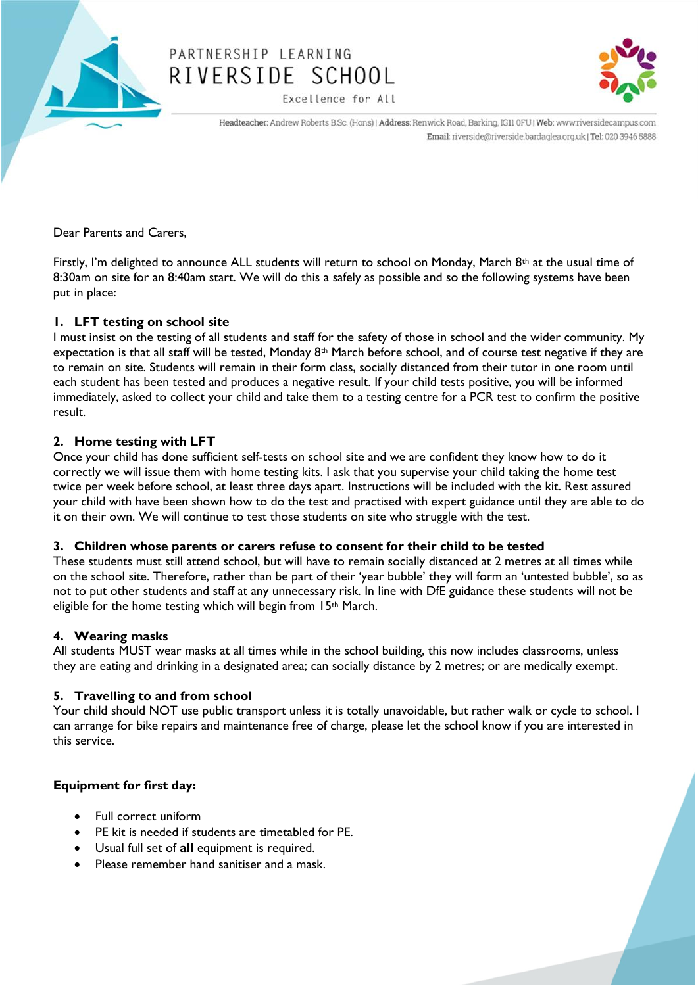

# PARTNERSHIP LEARNING RIVERSIDE SCHOOL

Excellence for All



Headteacher: Andrew Roberts B.Sc. (Hons) | Address: Renwick Road, Barking, IG11 0FU | Web: www.riversidecampus.com Email: riverside@riverside.bardaglea.org.uk | Tel: 020 3946 5888

Dear Parents and Carers,

Firstly, I'm delighted to announce ALL students will return to school on Monday, March  $8<sup>th</sup>$  at the usual time of 8:30am on site for an 8:40am start. We will do this a safely as possible and so the following systems have been put in place:

## **1. LFT testing on school site**

I must insist on the testing of all students and staff for the safety of those in school and the wider community. My expectation is that all staff will be tested, Monday 8<sup>th</sup> March before school, and of course test negative if they are to remain on site. Students will remain in their form class, socially distanced from their tutor in one room until each student has been tested and produces a negative result. If your child tests positive, you will be informed immediately, asked to collect your child and take them to a testing centre for a PCR test to confirm the positive result.

## **2. Home testing with LFT**

Once your child has done sufficient self-tests on school site and we are confident they know how to do it correctly we will issue them with home testing kits. I ask that you supervise your child taking the home test twice per week before school, at least three days apart. Instructions will be included with the kit. Rest assured your child with have been shown how to do the test and practised with expert guidance until they are able to do it on their own. We will continue to test those students on site who struggle with the test.

## **3. Children whose parents or carers refuse to consent for their child to be tested**

These students must still attend school, but will have to remain socially distanced at 2 metres at all times while on the school site. Therefore, rather than be part of their 'year bubble' they will form an 'untested bubble', so as not to put other students and staff at any unnecessary risk. In line with DfE guidance these students will not be eligible for the home testing which will begin from 15<sup>th</sup> March.

## **4. Wearing masks**

All students MUST wear masks at all times while in the school building, this now includes classrooms, unless they are eating and drinking in a designated area; can socially distance by 2 metres; or are medically exempt.

# **5. Travelling to and from school**

Your child should NOT use public transport unless it is totally unavoidable, but rather walk or cycle to school. I can arrange for bike repairs and maintenance free of charge, please let the school know if you are interested in this service.

# **Equipment for first day:**

- Full correct uniform
- PE kit is needed if students are timetabled for PE.
- Usual full set of **all** equipment is required.
- Please remember hand sanitiser and a mask.